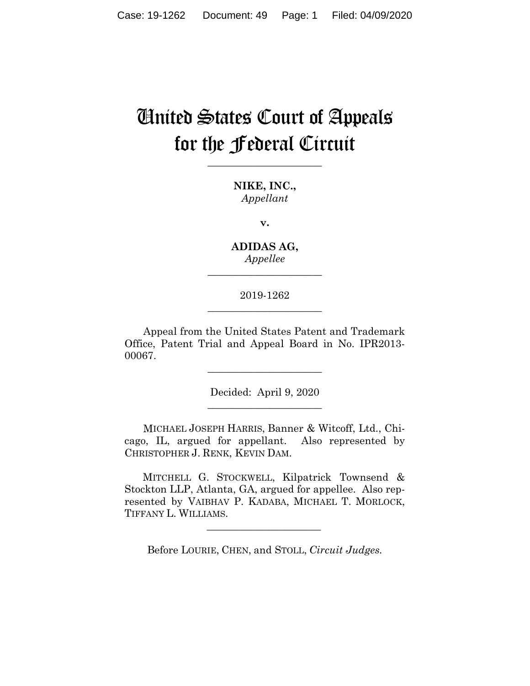# United States Court of Appeals for the Federal Circuit

**\_\_\_\_\_\_\_\_\_\_\_\_\_\_\_\_\_\_\_\_\_\_**

**NIKE, INC.,** *Appellant*

**v.**

**ADIDAS AG,** *Appellee*

**\_\_\_\_\_\_\_\_\_\_\_\_\_\_\_\_\_\_\_\_\_\_**

## 2019-1262 **\_\_\_\_\_\_\_\_\_\_\_\_\_\_\_\_\_\_\_\_\_\_**

Appeal from the United States Patent and Trademark Office, Patent Trial and Appeal Board in No. IPR2013- 00067.

> Decided: April 9, 2020 **\_\_\_\_\_\_\_\_\_\_\_\_\_\_\_\_\_\_\_\_\_\_**

> **\_\_\_\_\_\_\_\_\_\_\_\_\_\_\_\_\_\_\_\_\_\_**

MICHAEL JOSEPH HARRIS, Banner & Witcoff, Ltd., Chicago, IL, argued for appellant. Also represented by CHRISTOPHER J. RENK, KEVIN DAM.

 MITCHELL G. STOCKWELL, Kilpatrick Townsend & Stockton LLP, Atlanta, GA, argued for appellee. Also represented by VAIBHAV P. KADABA, MICHAEL T. MORLOCK, TIFFANY L. WILLIAMS.

Before LOURIE, CHEN, and STOLL, *Circuit Judges.*

 $\mathcal{L}_\text{max}$  and  $\mathcal{L}_\text{max}$  and  $\mathcal{L}_\text{max}$  and  $\mathcal{L}_\text{max}$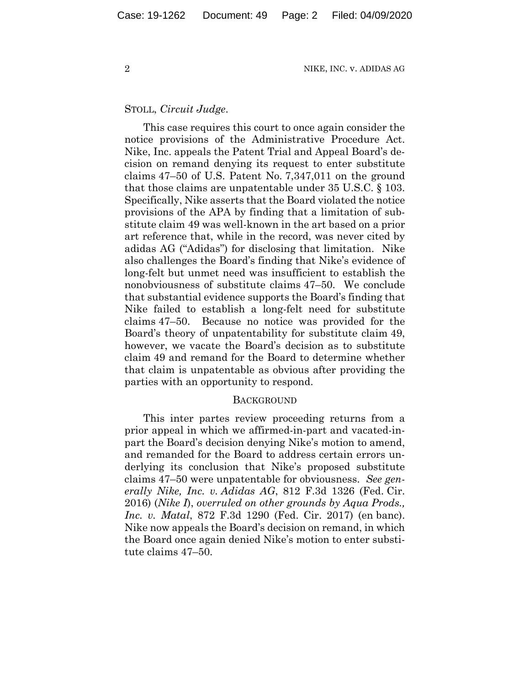## STOLL, *Circuit Judge*.

This case requires this court to once again consider the notice provisions of the Administrative Procedure Act. Nike, Inc. appeals the Patent Trial and Appeal Board's decision on remand denying its request to enter substitute claims 47–50 of U.S. Patent No. 7,347,011 on the ground that those claims are unpatentable under 35 U.S.C. § 103. Specifically, Nike asserts that the Board violated the notice provisions of the APA by finding that a limitation of substitute claim 49 was well-known in the art based on a prior art reference that, while in the record, was never cited by adidas AG ("Adidas") for disclosing that limitation. Nike also challenges the Board's finding that Nike's evidence of long-felt but unmet need was insufficient to establish the nonobviousness of substitute claims 47–50. We conclude that substantial evidence supports the Board's finding that Nike failed to establish a long-felt need for substitute claims 47–50. Because no notice was provided for the Board's theory of unpatentability for substitute claim 49, however, we vacate the Board's decision as to substitute claim 49 and remand for the Board to determine whether that claim is unpatentable as obvious after providing the parties with an opportunity to respond.

#### **BACKGROUND**

This inter partes review proceeding returns from a prior appeal in which we affirmed-in-part and vacated-inpart the Board's decision denying Nike's motion to amend, and remanded for the Board to address certain errors underlying its conclusion that Nike's proposed substitute claims 47–50 were unpatentable for obviousness. *See generally Nike, Inc. v. Adidas AG*, 812 F.3d 1326 (Fed. Cir. 2016) (*Nike I*), *overruled on other grounds by Aqua Prods., Inc. v. Matal*, 872 F.3d 1290 (Fed. Cir. 2017) (en banc). Nike now appeals the Board's decision on remand, in which the Board once again denied Nike's motion to enter substitute claims 47–50.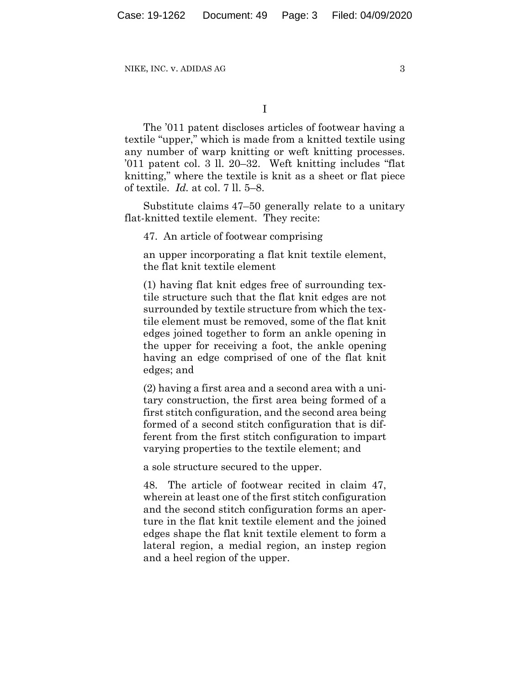I

The '011 patent discloses articles of footwear having a textile "upper," which is made from a knitted textile using any number of warp knitting or weft knitting processes. '011 patent col. 3 ll. 20–32. Weft knitting includes "flat knitting," where the textile is knit as a sheet or flat piece of textile. *Id.* at col. 7 ll. 5–8.

Substitute claims 47–50 generally relate to a unitary flat-knitted textile element.They recite:

47. An article of footwear comprising

an upper incorporating a flat knit textile element, the flat knit textile element

(1) having flat knit edges free of surrounding textile structure such that the flat knit edges are not surrounded by textile structure from which the textile element must be removed, some of the flat knit edges joined together to form an ankle opening in the upper for receiving a foot, the ankle opening having an edge comprised of one of the flat knit edges; and

(2) having a first area and a second area with a unitary construction, the first area being formed of a first stitch configuration, and the second area being formed of a second stitch configuration that is different from the first stitch configuration to impart varying properties to the textile element; and

a sole structure secured to the upper.

48. The article of footwear recited in claim 47, wherein at least one of the first stitch configuration and the second stitch configuration forms an aperture in the flat knit textile element and the joined edges shape the flat knit textile element to form a lateral region, a medial region, an instep region and a heel region of the upper.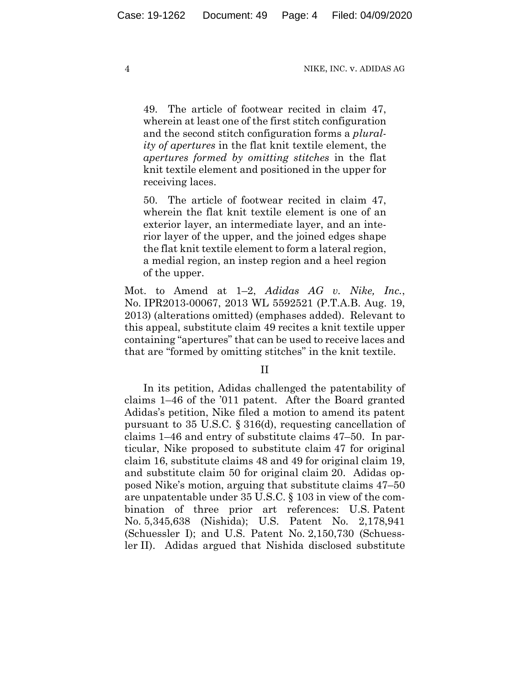49. The article of footwear recited in claim 47, wherein at least one of the first stitch configuration and the second stitch configuration forms a *plurality of apertures* in the flat knit textile element, the *apertures formed by omitting stitches* in the flat knit textile element and positioned in the upper for receiving laces.

50. The article of footwear recited in claim 47, wherein the flat knit textile element is one of an exterior layer, an intermediate layer, and an interior layer of the upper, and the joined edges shape the flat knit textile element to form a lateral region, a medial region, an instep region and a heel region of the upper.

Mot. to Amend at 1–2, *Adidas AG v. Nike, Inc.*, No. IPR2013-00067, 2013 WL 5592521 (P.T.A.B. Aug. 19, 2013) (alterations omitted) (emphases added). Relevant to this appeal, substitute claim 49 recites a knit textile upper containing "apertures" that can be used to receive laces and that are "formed by omitting stitches" in the knit textile.

II

In its petition, Adidas challenged the patentability of claims 1–46 of the '011 patent. After the Board granted Adidas's petition, Nike filed a motion to amend its patent pursuant to 35 U.S.C. § 316(d), requesting cancellation of claims 1–46 and entry of substitute claims 47–50. In particular, Nike proposed to substitute claim 47 for original claim 16, substitute claims 48 and 49 for original claim 19, and substitute claim 50 for original claim 20. Adidas opposed Nike's motion, arguing that substitute claims 47–50 are unpatentable under 35 U.S.C. § 103 in view of the combination of three prior art references: U.S. Patent No. 5,345,638 (Nishida); U.S. Patent No. 2,178,941 (Schuessler I); and U.S. Patent No. 2,150,730 (Schuessler II). Adidas argued that Nishida disclosed substitute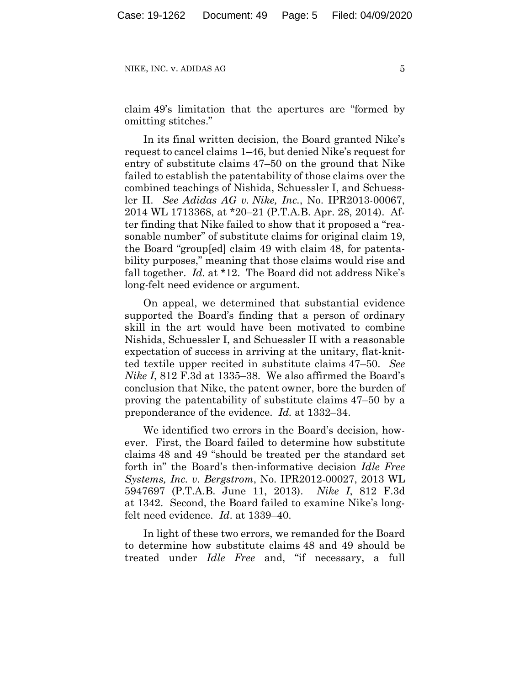claim 49's limitation that the apertures are "formed by omitting stitches."

In its final written decision, the Board granted Nike's request to cancel claims 1–46, but denied Nike's request for entry of substitute claims 47–50 on the ground that Nike failed to establish the patentability of those claims over the combined teachings of Nishida, Schuessler I, and Schuessler II. *See Adidas AG v. Nike, Inc.*, No. IPR2013-00067, 2014 WL 1713368, at \*20–21 (P.T.A.B. Apr. 28, 2014). After finding that Nike failed to show that it proposed a "reasonable number" of substitute claims for original claim 19, the Board "group[ed] claim 49 with claim 48, for patentability purposes," meaning that those claims would rise and fall together. *Id.* at \*12. The Board did not address Nike's long-felt need evidence or argument.

On appeal, we determined that substantial evidence supported the Board's finding that a person of ordinary skill in the art would have been motivated to combine Nishida, Schuessler I, and Schuessler II with a reasonable expectation of success in arriving at the unitary, flat-knitted textile upper recited in substitute claims 47–50. *See Nike I*, 812 F.3d at 1335–38. We also affirmed the Board's conclusion that Nike, the patent owner, bore the burden of proving the patentability of substitute claims 47–50 by a preponderance of the evidence. *Id.* at 1332–34.

We identified two errors in the Board's decision, however. First, the Board failed to determine how substitute claims 48 and 49 "should be treated per the standard set forth in" the Board's then-informative decision *Idle Free Systems, Inc. v. Bergstrom*, No. IPR2012-00027, 2013 WL 5947697 (P.T.A.B. June 11, 2013). *Nike I*, 812 F.3d at 1342. Second, the Board failed to examine Nike's longfelt need evidence. *Id*. at 1339–40.

In light of these two errors, we remanded for the Board to determine how substitute claims 48 and 49 should be treated under *Idle Free* and, "if necessary, a full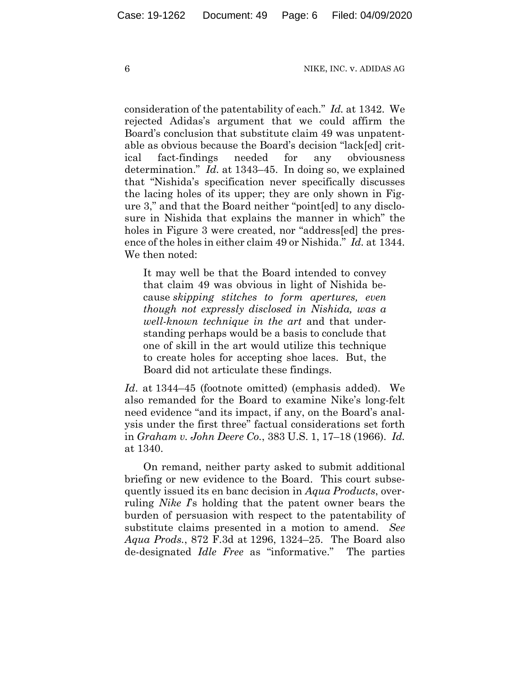consideration of the patentability of each." *Id.* at 1342. We rejected Adidas's argument that we could affirm the Board's conclusion that substitute claim 49 was unpatentable as obvious because the Board's decision "lack[ed] critical fact-findings needed for any obviousness determination." *Id.* at 1343–45. In doing so, we explained that "Nishida's specification never specifically discusses the lacing holes of its upper; they are only shown in Figure 3," and that the Board neither "point[ed] to any disclosure in Nishida that explains the manner in which" the holes in Figure 3 were created, nor "address[ed] the presence of the holes in either claim 49 or Nishida." *Id.* at 1344. We then noted:

It may well be that the Board intended to convey that claim 49 was obvious in light of Nishida because *skipping stitches to form apertures, even though not expressly disclosed in Nishida, was a well-known technique in the art* and that understanding perhaps would be a basis to conclude that one of skill in the art would utilize this technique to create holes for accepting shoe laces. But, the Board did not articulate these findings.

*Id*. at 1344–45 (footnote omitted) (emphasis added). We also remanded for the Board to examine Nike's long-felt need evidence "and its impact, if any, on the Board's analysis under the first three" factual considerations set forth in *Graham v. John Deere Co.*, 383 U.S. 1, 17–18 (1966). *Id.* at 1340.

On remand, neither party asked to submit additional briefing or new evidence to the Board. This court subsequently issued its en banc decision in *Aqua Products*, overruling *Nike I*'s holding that the patent owner bears the burden of persuasion with respect to the patentability of substitute claims presented in a motion to amend. *See Aqua Prods.*, 872 F.3d at 1296, 1324–25. The Board also de-designated *Idle Free* as "informative." The parties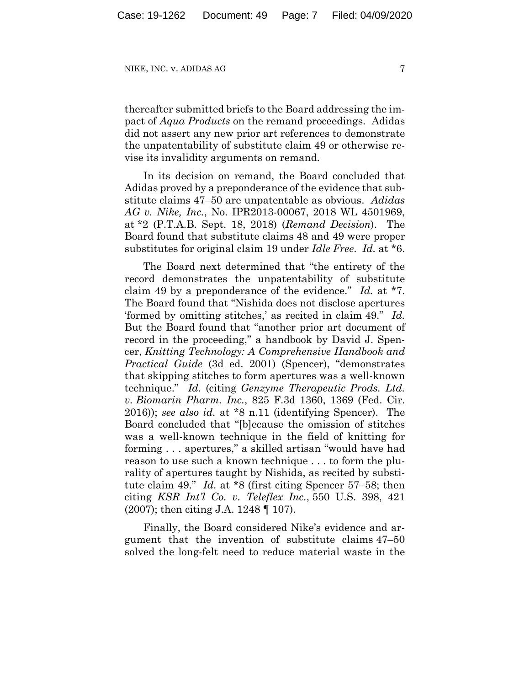thereafter submitted briefs to the Board addressing the impact of *Aqua Products* on the remand proceedings. Adidas did not assert any new prior art references to demonstrate the unpatentability of substitute claim 49 or otherwise revise its invalidity arguments on remand.

In its decision on remand, the Board concluded that Adidas proved by a preponderance of the evidence that substitute claims 47–50 are unpatentable as obvious. *Adidas AG v. Nike, Inc.*, No. IPR2013-00067, 2018 WL 4501969, at \*2 (P.T.A.B. Sept. 18, 2018) (*Remand Decision*). The Board found that substitute claims 48 and 49 were proper substitutes for original claim 19 under *Idle Free*. *Id.* at \*6.

The Board next determined that "the entirety of the record demonstrates the unpatentability of substitute claim 49 by a preponderance of the evidence." *Id.* at \*7. The Board found that "Nishida does not disclose apertures 'formed by omitting stitches,' as recited in claim 49." *Id.* But the Board found that "another prior art document of record in the proceeding," a handbook by David J. Spencer, *Knitting Technology: A Comprehensive Handbook and Practical Guide* (3d ed. 2001) (Spencer), "demonstrates that skipping stitches to form apertures was a well-known technique." *Id.* (citing *Genzyme Therapeutic Prods. Ltd. v. Biomarin Pharm. Inc.*, 825 F.3d 1360, 1369 (Fed. Cir. 2016)); *see also id.* at \*8 n.11 (identifying Spencer). The Board concluded that "[b]ecause the omission of stitches was a well-known technique in the field of knitting for forming . . . apertures," a skilled artisan "would have had reason to use such a known technique . . . to form the plurality of apertures taught by Nishida, as recited by substitute claim 49." *Id.* at \*8 (first citing Spencer 57–58; then citing *KSR Int'l Co. v. Teleflex Inc.*, 550 U.S. 398, 421 (2007); then citing J.A. 1248 ¶ 107).

Finally, the Board considered Nike's evidence and argument that the invention of substitute claims 47–50 solved the long-felt need to reduce material waste in the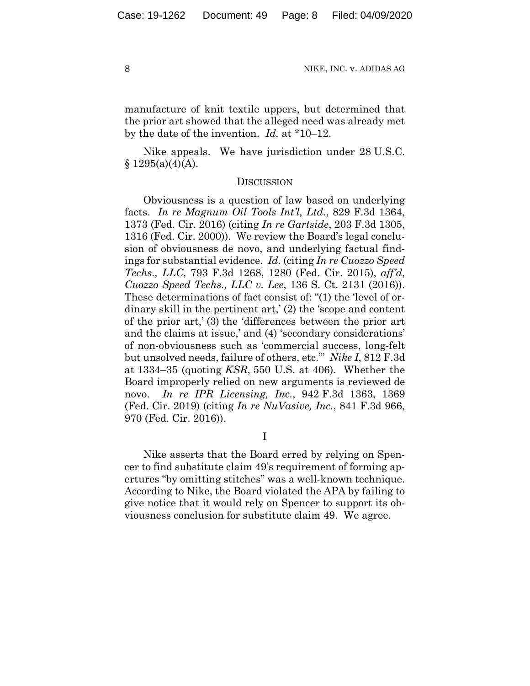manufacture of knit textile uppers, but determined that the prior art showed that the alleged need was already met by the date of the invention. *Id.* at \*10–12.

Nike appeals. We have jurisdiction under 28 U.S.C.  $§ 1295(a)(4)(A).$ 

### **DISCUSSION**

Obviousness is a question of law based on underlying facts. *In re Magnum Oil Tools Int'l, Ltd.*, 829 F.3d 1364, 1373 (Fed. Cir. 2016) (citing *In re Gartside*, 203 F.3d 1305, 1316 (Fed. Cir. 2000)). We review the Board's legal conclusion of obviousness de novo, and underlying factual findings for substantial evidence. *Id.* (citing *In re Cuozzo Speed Techs., LLC*, 793 F.3d 1268, 1280 (Fed. Cir. 2015), *aff'd*, *Cuozzo Speed Techs., LLC v. Lee*, 136 S. Ct. 2131 (2016)). These determinations of fact consist of: "(1) the 'level of ordinary skill in the pertinent art,' (2) the 'scope and content of the prior art,' (3) the 'differences between the prior art and the claims at issue,' and (4) 'secondary considerations' of non-obviousness such as 'commercial success, long-felt but unsolved needs, failure of others, etc.'" *Nike I*, 812 F.3d at 1334–35 (quoting *KSR*, 550 U.S. at 406). Whether the Board improperly relied on new arguments is reviewed de novo. *In re IPR Licensing, Inc.*, 942 F.3d 1363, 1369 (Fed. Cir. 2019) (citing *In re NuVasive, Inc.*, 841 F.3d 966, 970 (Fed. Cir. 2016)).

I

Nike asserts that the Board erred by relying on Spencer to find substitute claim 49's requirement of forming apertures "by omitting stitches" was a well-known technique. According to Nike, the Board violated the APA by failing to give notice that it would rely on Spencer to support its obviousness conclusion for substitute claim 49. We agree.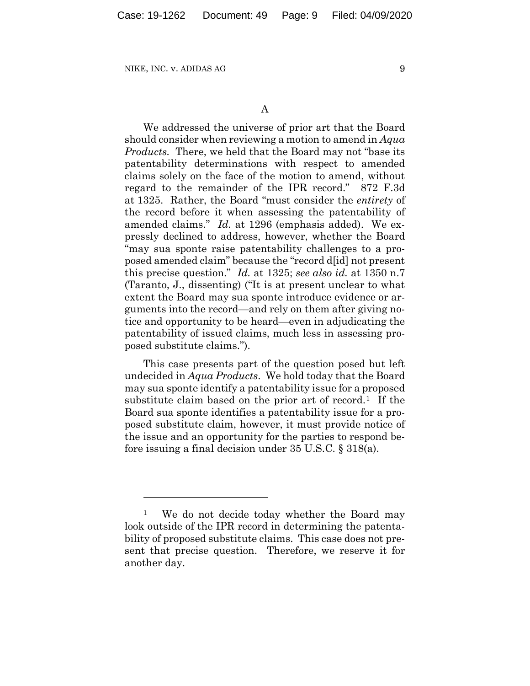We addressed the universe of prior art that the Board should consider when reviewing a motion to amend in *Aqua Products.* There, we held that the Board may not "base its patentability determinations with respect to amended claims solely on the face of the motion to amend, without regard to the remainder of the IPR record." 872 F.3d at 1325. Rather, the Board "must consider the *entirety* of the record before it when assessing the patentability of amended claims." *Id.* at 1296 (emphasis added). We expressly declined to address, however, whether the Board "may sua sponte raise patentability challenges to a proposed amended claim" because the "record d[id] not present this precise question." *Id.* at 1325; *see also id.* at 1350 n.7 (Taranto, J., dissenting) ("It is at present unclear to what extent the Board may sua sponte introduce evidence or arguments into the record—and rely on them after giving notice and opportunity to be heard—even in adjudicating the patentability of issued claims, much less in assessing proposed substitute claims.").

This case presents part of the question posed but left undecided in *Aqua Products*.We hold today that the Board may sua sponte identify a patentability issue for a proposed substitute claim based on the prior art of record.<sup>1</sup> If the Board sua sponte identifies a patentability issue for a proposed substitute claim, however, it must provide notice of the issue and an opportunity for the parties to respond before issuing a final decision under 35 U.S.C. § 318(a).

<sup>&</sup>lt;sup>1</sup> We do not decide today whether the Board may look outside of the IPR record in determining the patentability of proposed substitute claims. This case does not present that precise question. Therefore, we reserve it for another day.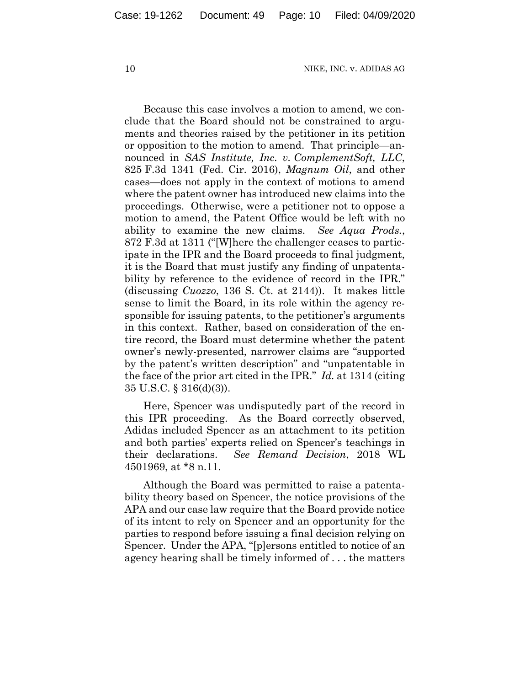Because this case involves a motion to amend, we conclude that the Board should not be constrained to arguments and theories raised by the petitioner in its petition or opposition to the motion to amend. That principle—announced in *SAS Institute, Inc. v. ComplementSoft, LLC*, 825 F.3d 1341 (Fed. Cir. 2016), *Magnum Oil*, and other cases—does not apply in the context of motions to amend where the patent owner has introduced new claims into the proceedings. Otherwise, were a petitioner not to oppose a motion to amend, the Patent Office would be left with no ability to examine the new claims. *See Aqua Prods.*, 872 F.3d at 1311 ("[W]here the challenger ceases to participate in the IPR and the Board proceeds to final judgment, it is the Board that must justify any finding of unpatentability by reference to the evidence of record in the IPR." (discussing *Cuozzo*, 136 S. Ct. at 2144)). It makes little sense to limit the Board, in its role within the agency responsible for issuing patents, to the petitioner's arguments in this context. Rather, based on consideration of the entire record, the Board must determine whether the patent owner's newly-presented, narrower claims are "supported by the patent's written description" and "unpatentable in the face of the prior art cited in the IPR." *Id.* at 1314 (citing 35 U.S.C. § 316(d)(3)).

Here, Spencer was undisputedly part of the record in this IPR proceeding. As the Board correctly observed, Adidas included Spencer as an attachment to its petition and both parties' experts relied on Spencer's teachings in their declarations. *See Remand Decision*, 2018 WL 4501969, at \*8 n.11.

Although the Board was permitted to raise a patentability theory based on Spencer, the notice provisions of the APA and our case law require that the Board provide notice of its intent to rely on Spencer and an opportunity for the parties to respond before issuing a final decision relying on Spencer. Under the APA, "[p]ersons entitled to notice of an agency hearing shall be timely informed of . . . the matters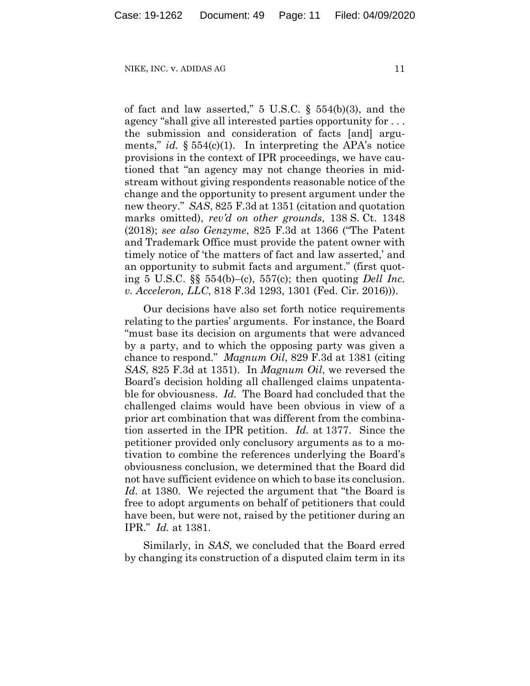of fact and law asserted," 5 U.S.C. § 554(b)(3), and the agency "shall give all interested parties opportunity for . . . the submission and consideration of facts [and] arguments," *id.* § 554(c)(1). In interpreting the APA's notice provisions in the context of IPR proceedings, we have cautioned that "an agency may not change theories in midstream without giving respondents reasonable notice of the change and the opportunity to present argument under the new theory." *SAS*, 825 F.3d at 1351 (citation and quotation marks omitted), *rev'd on other grounds*, 138 S. Ct. 1348 (2018); *see also Genzyme*, 825 F.3d at 1366 ("The Patent and Trademark Office must provide the patent owner with timely notice of 'the matters of fact and law asserted,' and an opportunity to submit facts and argument." (first quoting 5 U.S.C. §§ 554(b)–(c), 557(c); then quoting *Dell Inc. v. Acceleron, LLC*, 818 F.3d 1293, 1301 (Fed. Cir. 2016))).

Our decisions have also set forth notice requirements relating to the parties' arguments. For instance, the Board "must base its decision on arguments that were advanced by a party, and to which the opposing party was given a chance to respond." *Magnum Oil*, 829 F.3d at 1381 (citing *SAS*, 825 F.3d at 1351).In *Magnum Oil*, we reversed the Board's decision holding all challenged claims unpatentable for obviousness. *Id.* The Board had concluded that the challenged claims would have been obvious in view of a prior art combination that was different from the combination asserted in the IPR petition. *Id.* at 1377. Since the petitioner provided only conclusory arguments as to a motivation to combine the references underlying the Board's obviousness conclusion, we determined that the Board did not have sufficient evidence on which to base its conclusion. *Id.* at 1380. We rejected the argument that "the Board is free to adopt arguments on behalf of petitioners that could have been, but were not, raised by the petitioner during an IPR." *Id.* at 1381.

Similarly, in *SAS*, we concluded that the Board erred by changing its construction of a disputed claim term in its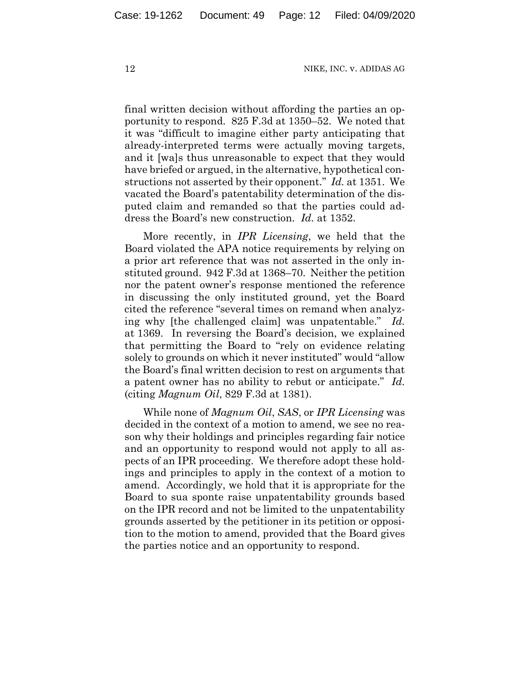final written decision without affording the parties an opportunity to respond. 825 F.3d at 1350–52. We noted that it was "difficult to imagine either party anticipating that already-interpreted terms were actually moving targets, and it [wa]s thus unreasonable to expect that they would have briefed or argued, in the alternative, hypothetical constructions not asserted by their opponent." *Id.* at 1351. We vacated the Board's patentability determination of the disputed claim and remanded so that the parties could address the Board's new construction. *Id.* at 1352.

More recently, in *IPR Licensing*, we held that the Board violated the APA notice requirements by relying on a prior art reference that was not asserted in the only instituted ground. 942 F.3d at 1368–70. Neither the petition nor the patent owner's response mentioned the reference in discussing the only instituted ground, yet the Board cited the reference "several times on remand when analyzing why [the challenged claim] was unpatentable." *Id.* at 1369. In reversing the Board's decision, we explained that permitting the Board to "rely on evidence relating solely to grounds on which it never instituted" would "allow the Board's final written decision to rest on arguments that a patent owner has no ability to rebut or anticipate." *Id.* (citing *Magnum Oil*, 829 F.3d at 1381).

While none of *Magnum Oil*, *SAS*, or *IPR Licensing* was decided in the context of a motion to amend, we see no reason why their holdings and principles regarding fair notice and an opportunity to respond would not apply to all aspects of an IPR proceeding. We therefore adopt these holdings and principles to apply in the context of a motion to amend. Accordingly, we hold that it is appropriate for the Board to sua sponte raise unpatentability grounds based on the IPR record and not be limited to the unpatentability grounds asserted by the petitioner in its petition or opposition to the motion to amend, provided that the Board gives the parties notice and an opportunity to respond.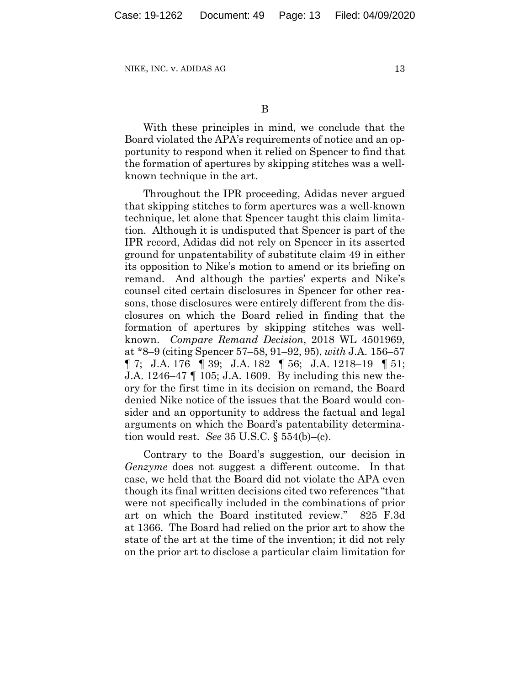With these principles in mind, we conclude that the Board violated the APA's requirements of notice and an opportunity to respond when it relied on Spencer to find that the formation of apertures by skipping stitches was a wellknown technique in the art.

Throughout the IPR proceeding, Adidas never argued that skipping stitches to form apertures was a well-known technique, let alone that Spencer taught this claim limitation. Although it is undisputed that Spencer is part of the IPR record, Adidas did not rely on Spencer in its asserted ground for unpatentability of substitute claim 49 in either its opposition to Nike's motion to amend or its briefing on remand. And although the parties' experts and Nike's counsel cited certain disclosures in Spencer for other reasons, those disclosures were entirely different from the disclosures on which the Board relied in finding that the formation of apertures by skipping stitches was wellknown. *Compare Remand Decision*, 2018 WL 4501969, at \*8–9 (citing Spencer 57–58, 91–92, 95), *with* J.A. 156–57 ¶ 7; J.A. 176 ¶ 39; J.A. 182 ¶ 56; J.A. 1218–19 ¶ 51; J.A. 1246–47 ¶ 105; J.A. 1609.By including this new theory for the first time in its decision on remand, the Board denied Nike notice of the issues that the Board would consider and an opportunity to address the factual and legal arguments on which the Board's patentability determination would rest. *See* 35 U.S.C. § 554(b)–(c).

Contrary to the Board's suggestion, our decision in *Genzyme* does not suggest a different outcome. In that case, we held that the Board did not violate the APA even though its final written decisions cited two references "that were not specifically included in the combinations of prior art on which the Board instituted review." 825 F.3d at 1366. The Board had relied on the prior art to show the state of the art at the time of the invention; it did not rely on the prior art to disclose a particular claim limitation for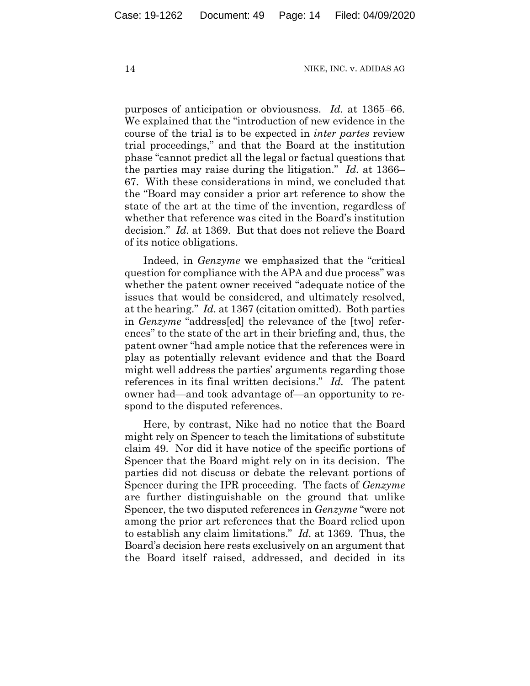purposes of anticipation or obviousness. *Id.* at 1365–66. We explained that the "introduction of new evidence in the course of the trial is to be expected in *inter partes* review trial proceedings," and that the Board at the institution phase "cannot predict all the legal or factual questions that the parties may raise during the litigation." *Id.* at 1366– 67. With these considerations in mind, we concluded that the "Board may consider a prior art reference to show the state of the art at the time of the invention, regardless of whether that reference was cited in the Board's institution decision." *Id.* at 1369. But that does not relieve the Board of its notice obligations.

Indeed, in *Genzyme* we emphasized that the "critical question for compliance with the APA and due process" was whether the patent owner received "adequate notice of the issues that would be considered, and ultimately resolved, at the hearing." *Id.* at 1367 (citation omitted). Both parties in *Genzyme* "address[ed] the relevance of the [two] references" to the state of the art in their briefing and, thus, the patent owner "had ample notice that the references were in play as potentially relevant evidence and that the Board might well address the parties' arguments regarding those references in its final written decisions." *Id.* The patent owner had—and took advantage of—an opportunity to respond to the disputed references.

Here, by contrast, Nike had no notice that the Board might rely on Spencer to teach the limitations of substitute claim 49. Nor did it have notice of the specific portions of Spencer that the Board might rely on in its decision. The parties did not discuss or debate the relevant portions of Spencer during the IPR proceeding. The facts of *Genzyme*  are further distinguishable on the ground that unlike Spencer, the two disputed references in *Genzyme* "were not among the prior art references that the Board relied upon to establish any claim limitations." *Id.* at 1369. Thus, the Board's decision here rests exclusively on an argument that the Board itself raised, addressed, and decided in its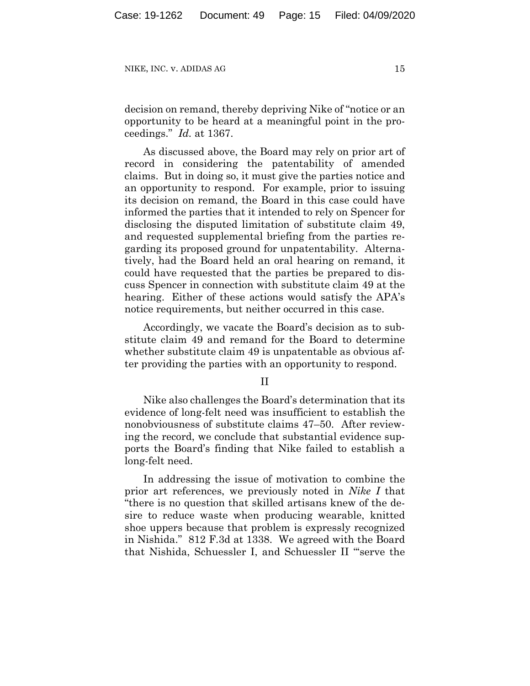decision on remand, thereby depriving Nike of "notice or an opportunity to be heard at a meaningful point in the proceedings." *Id.* at 1367.

As discussed above, the Board may rely on prior art of record in considering the patentability of amended claims. But in doing so, it must give the parties notice and an opportunity to respond. For example, prior to issuing its decision on remand, the Board in this case could have informed the parties that it intended to rely on Spencer for disclosing the disputed limitation of substitute claim 49, and requested supplemental briefing from the parties regarding its proposed ground for unpatentability. Alternatively, had the Board held an oral hearing on remand, it could have requested that the parties be prepared to discuss Spencer in connection with substitute claim 49 at the hearing. Either of these actions would satisfy the APA's notice requirements, but neither occurred in this case.

Accordingly, we vacate the Board's decision as to substitute claim 49 and remand for the Board to determine whether substitute claim 49 is unpatentable as obvious after providing the parties with an opportunity to respond.

II

Nike also challenges the Board's determination that its evidence of long-felt need was insufficient to establish the nonobviousness of substitute claims 47–50. After reviewing the record, we conclude that substantial evidence supports the Board's finding that Nike failed to establish a long-felt need.

In addressing the issue of motivation to combine the prior art references, we previously noted in *Nike I* that "there is no question that skilled artisans knew of the desire to reduce waste when producing wearable, knitted shoe uppers because that problem is expressly recognized in Nishida." 812 F.3d at 1338. We agreed with the Board that Nishida, Schuessler I, and Schuessler II "'serve the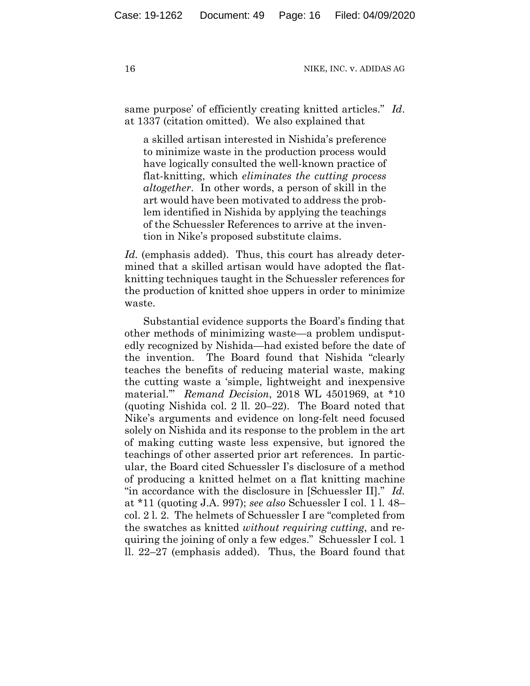same purpose' of efficiently creating knitted articles." *Id*. at 1337 (citation omitted). We also explained that

a skilled artisan interested in Nishida's preference to minimize waste in the production process would have logically consulted the well-known practice of flat-knitting, which *eliminates the cutting process altogether*. In other words, a person of skill in the art would have been motivated to address the problem identified in Nishida by applying the teachings of the Schuessler References to arrive at the invention in Nike's proposed substitute claims.

*Id.* (emphasis added). Thus, this court has already determined that a skilled artisan would have adopted the flatknitting techniques taught in the Schuessler references for the production of knitted shoe uppers in order to minimize waste.

Substantial evidence supports the Board's finding that other methods of minimizing waste—a problem undisputedly recognized by Nishida—had existed before the date of the invention. The Board found that Nishida "clearly teaches the benefits of reducing material waste, making the cutting waste a 'simple, lightweight and inexpensive material.'" *Remand Decision*, 2018 WL 4501969, at \*10 (quoting Nishida col. 2 ll. 20–22). The Board noted that Nike's arguments and evidence on long-felt need focused solely on Nishida and its response to the problem in the art of making cutting waste less expensive, but ignored the teachings of other asserted prior art references. In particular, the Board cited Schuessler I's disclosure of a method of producing a knitted helmet on a flat knitting machine "in accordance with the disclosure in [Schuessler II]." *Id.*  at \*11 (quoting J.A. 997); *see also* Schuessler I col. 1 l. 48– col. 2 l. 2. The helmets of Schuessler I are "completed from the swatches as knitted *without requiring cutting*, and requiring the joining of only a few edges." Schuessler I col. 1 ll. 22–27 (emphasis added). Thus, the Board found that